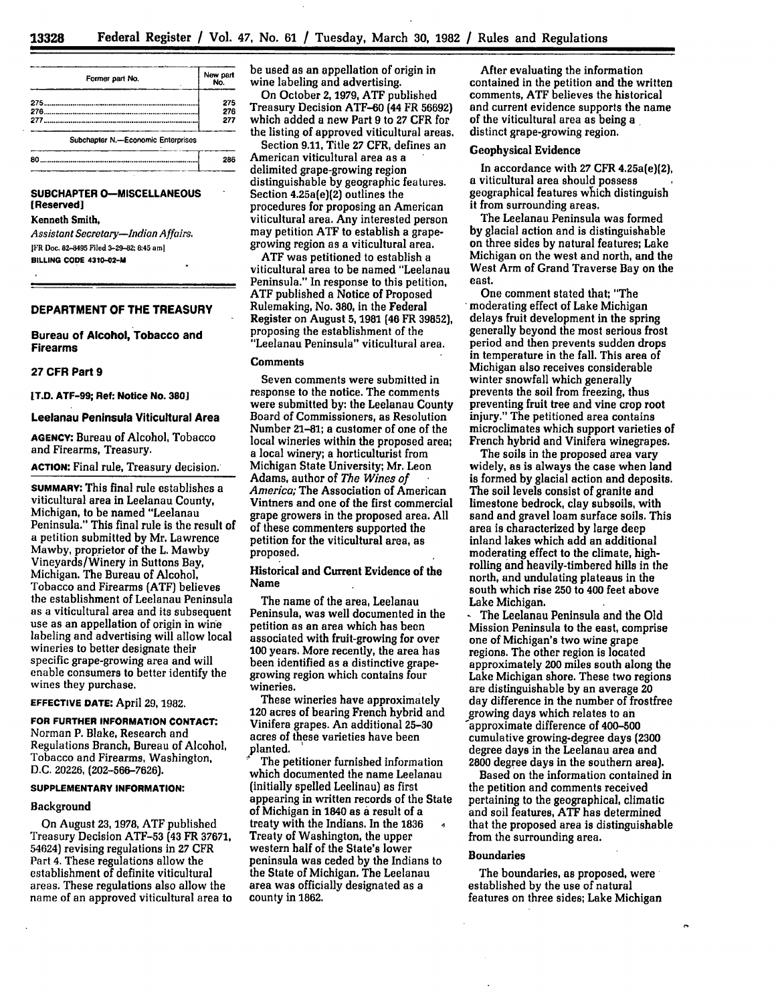| Former part No.                    | New part<br>No.   | be used as an appellation of origin in<br>wine labeling and advertising.<br>On October 2, 1979, ATF published<br>Treasury Decision ATF-60 (44 FR 56692)<br>which added a new Part 9 to 27 CFR for |
|------------------------------------|-------------------|---------------------------------------------------------------------------------------------------------------------------------------------------------------------------------------------------|
| 275<br>277                         | 275<br>276<br>277 |                                                                                                                                                                                                   |
| Subchapter N.-Economic Enterprises |                   | the listing of approved viticultural areas<br>Section 9.11, Title 27 CFR, defines an                                                                                                              |
|                                    | 286               | American viticultural area as a<br>dolimitad anona anowing nacion                                                                                                                                 |

## **SUBCHAPTER 0-MISCELLANEOUS (Reserved]**

Kenneth Smith, *Assistant Secretary-Indian Affairs.*

JFR **Doec. 82-8495** Filed **3-29-82;** 8:45 **aml BILLING CODE** 4310-02-M

# **DEPARTMENT OF THE TREASURY**

### **Bureau of Alcohol, Tobacco and Firearms**

#### **27 CFR Part 9**

**[T.D. ATF-99; Ref: Notice No. 3801**

#### **Leelanau Peninsula Viticultural Area**

**AGENCY:** Bureau of Alcohol, Tobacco and Firearms, Treasury.

**ACTION:** Final rule, Treasury decision.

**SUMMARY:** This final rule establishes a viticultural area in Leelanau County, Michigan, to be named "Leelanau Peninsula." This final rule is the result of a petition submitted **by** Mr. Lawrence Mawby, proprietor of the L. Mawby Vineyards/Winery in Suttons Bay, Michigan. The Bureau of Alcohol, Tobacco and Firearms **(ATF)** believes the establishment of Leelanau Peninsula as a viticultural area and its subsequent use as an appellation of origin in wine labeling and advertising will allow local wineries to better designate their specific grape-growing area and will enable consumers to better identify the wines they purchase.

### **EFFECTIVE DATE:** April **29, 1982.**

**FOR FURTHER INFORMATION CONTACT:** Norman P. Blake, Research and Regulations Branch, Bureau of Alcohol, Tobacco and Firearms, Washington, D.C. 20226, (202-566-7626).

#### **SUPPLEMENTARY INFORMATION:**

#### Background

On August **23, 1978, ATF** published Treasury Decision ATF-53 (43 FR **37671,** 54624) revising regulations In **27** CFR Part 4. These regulations allow the establishment of definite viticultural areas. These regulations also allow the name of an approved viticultural area to

Section **9.11,** Title **27** CFR, defines an American viticultural area as a delimited grape-growing region distinguishable **by** geographic features. Section 4.25a(e)(2) outlines the procedures for proposing an American viticultural area. Any interested person may petition **ATF** to establish a grapegrowing region as a viticultural area.

**ATF** was petitioned to establish a viticultural area to be named "Leelanau Peninsula." In response to this petition, **ATF** published a Notice of Proposed Rulemaking, No. **380,** in the Federal Register on August **5, 1981** (46 FR **39852),** proposing the establishment of the "Leelanau Peninsula" viticultural area.

#### **Comments**

Seven comments were submitted in response to the notice. The comments were submitted by: the Leelanau County Board of Commissioners, as Resolution Number 21-81; a customer of one of the local wineries within the proposed area; a local winery; a horticulturist from Michigan State University; Mr. Leon Adams, author of *The Wines of America;* The Association of American Vintners and one of the first commercial grape growers in the proposed area. **All** of these commenters supported the petition for the viticultural area, as proposed.

### Historical and Current Evidence of the Name

The name of the area, Leelanau Peninsula, was well documented in the petition as an area which has been associated with fruit-growing for over **100** years. More recently, the area has been identified as a distinctive grapegrowing region which contains four wineries.

These wineries have approximately 120 acres of bearing French hybrid and Vinifera grapes. An additional **25-30** acres of these varieties have been ,planted.

The petitioner furnished information which documented the name Leelanau (initially spelled Leelinau) as first appearing in written records of the State of Michigan in 1840 as **a** result of a treaty with the Indians. In the **1836 1** Treaty of Washington, the upper western half of the State's lower peninsula was ceded **by** the Indians to the State of Michigan. The Leelanau area was officially designated as a county in **1862.**

After evaluating the information contained in the petition and the written comments, **ATF** believes the historical and current evidence supports the name of the viticultural area as being a distinct grape-growing region.

### Geophysical Evidence

In accordance with 27 CFR 4.25a(e)(2), a viticultural area should possess geographical features which distinguish it from surrounding areas.

The Leelanau Peninsula was formed **by** glacial action and is distinguishable on three sides **by** natural features; Lake Michigan on the west and north, and the West Arm of Grand Traverse Bay on the east.

One comment stated that; "The moderating effect of Lake Michigan delays fruit development in the spring generally beyond the most serious frost period and then prevents sudden drops in temperature in the fall. This area of Michigan also receives considerable winter snowfall which generally prevents the soil from freezing, thus preventing fruit tree and vine crop root injury." The petitioned area contains microclimates which support varieties of French hybrid and Vinifera winegrapes.

The soils in the proposed area vary widely, as is always the case when land is formed **by** glacial action and deposits. The soil levels consist of granite and limestone bedrock, clay subsoils, with sand and gravel loam surface soils. This area is characterized by large deep inland lakes which add an additional moderating effect to the climate, highrolling and heavily-timbered hills in the north, and undulating plateaus in the south which rise **250** to 400 feet above Lake Michigan.

**-** The Leelanau Peninsula and the **Old** Mission Peninsula to the east, comprise one of Michigan's two wine grape regions. The other region is located approximately 200 miles south along the Lake Michigan shore. These two regions are distinguishable **by** an average 20 day difference in the number of frostfree growing days which relates to an approximate difference of 400-500 cumulative growing-degree days **(2300** degree days in the Leelanau area and 2800 degree days in the southern area).

Based on the information contained in the petition and comments received pertaining to the geographical, climatic and soil features, **ATF** has determined that the proposed area is distinguishable from the surrounding area.

## Boundaries

The boundaries, as proposed, were established **by** the use of natural features on three sides; Lake Michigan